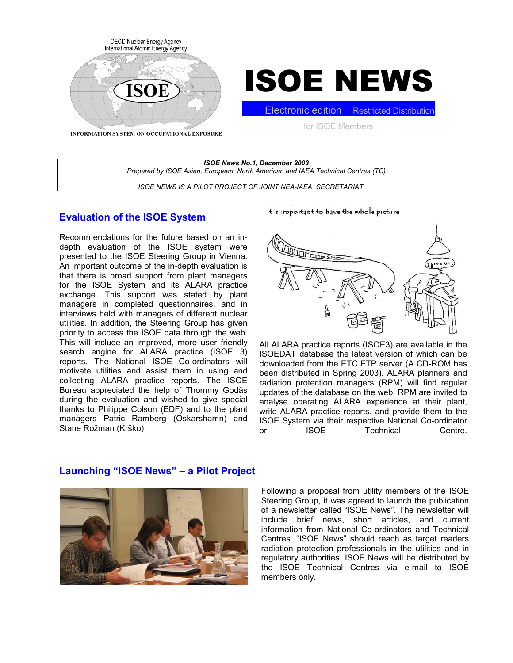



INFORMATION SYSTEM ON OCCUPATIONAL EXPOSURE

for ISOE Members

**Electronic edition** Restricted Distribution

*ISOE News No.1, December 2003 Prepared by ISOE Asian, European, North American and IAEA Technical Centres (TC) ISOE NEWS IS A PILOT PROJECT OF JOINT NEA-IAEA SECRETARIAT*

## **Evaluation of the ISOE System**

Recommendations for the future based on an indepth evaluation of the ISOE system were presented to the ISOE Steering Group in Vienna. An important outcome of the in-depth evaluation is that there is broad support from plant managers for the ISOE System and its ALARA practice exchange. This support was stated by plant managers in completed questionnaires, and in interviews held with managers of different nuclear utilities. In addition, the Steering Group has given priority to access the ISOE data through the web. This will include an improved, more user friendly search engine for ALARA practice (ISOE 3) reports. The National ISOE Co-ordinators will motivate utilities and assist them in using and collecting ALARA practice reports. The ISOE Bureau appreciated the help of Thommy Godås during the evaluation and wished to give special thanks to Philippe Colson (EDF) and to the plant managers Patric Ramberg (Oskarshamn) and Stane Rožman (Krško).

It's important to have the whole picture



All ALARA practice reports (ISOE3) are available in the ISOEDAT database the latest version of which can be downloaded from the ETC FTP server (A CD-ROM has been distributed in Spring 2003). ALARA planners and radiation protection managers (RPM) will find regular updates of the database on the web. RPM are invited to analyse operating ALARA experience at their plant, write ALARA practice reports, and provide them to the ISOE System via their respective National Co-ordinator or ISOE Technical Centre.

## **Launching "ISOE News" – a Pilot Project**



Following a proposal from utility members of the ISOE Steering Group, it was agreed to launch the publication of a newsletter called "ISOE News". The newsletter will include brief news, short articles, and current information from National Co-ordinators and Technical Centres. "ISOE News" should reach as target readers radiation protection professionals in the utilities and in regulatory authorities. ISOE News will be distributed by the ISOE Technical Centres via e-mail to ISOE members only.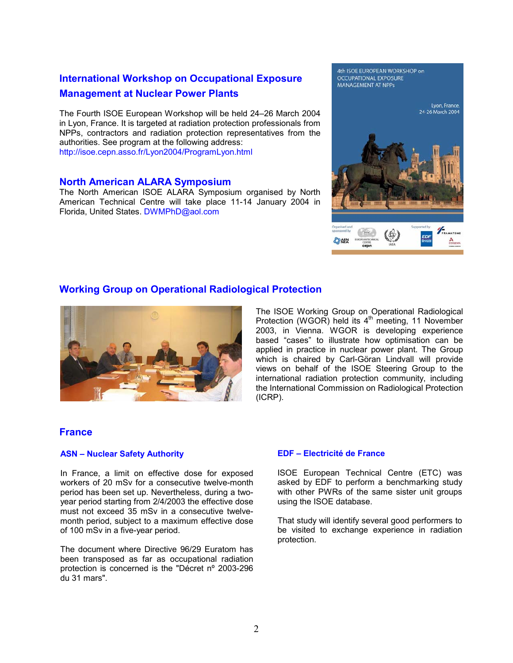# **International Workshop on Occupational Exposure Management at Nuclear Power Plants**

The Fourth ISOE European Workshop will be held 24–26 March 2004 in Lyon, France. It is targeted at radiation protection professionals from NPPs, contractors and radiation protection representatives from the authorities. See program at the following address: http://isoe.cepn.asso.fr/Lyon2004/ProgramLyon.html

## **North American ALARA Symposium**

The North American ISOE ALARA Symposium organised by North American Technical Centre will take place 11-14 January 2004 in Florida, United States. DWMPhD@aol.com

#### 4th ISOE EUROPEAN WORKSHOP on **OCCUPATIONAL EXPOSURE MANAGEMENT AT NPPs**



# **Working Group on Operational Radiological Protection**



The ISOE Working Group on Operational Radiological Protection (WGOR) held its  $4<sup>th</sup>$  meeting, 11 November 2003, in Vienna. WGOR is developing experience based "cases" to illustrate how optimisation can be applied in practice in nuclear power plant. The Group which is chaired by Carl-Göran Lindvall will provide views on behalf of the ISOE Steering Group to the international radiation protection community, including the International Commission on Radiological Protection (ICRP).

## **France**

### **ASN – Nuclear Safety Authority**

In France, a limit on effective dose for exposed workers of 20 mSv for a consecutive twelve-month period has been set up. Nevertheless, during a twoyear period starting from 2/4/2003 the effective dose must not exceed 35 mSv in a consecutive twelvemonth period, subject to a maximum effective dose of 100 mSv in a five-year period.

The document where Directive 96/29 Euratom has been transposed as far as occupational radiation protection is concerned is the "Décret nº 2003-296 du 31 mars".

### **EDF – Electricité de France**

ISOE European Technical Centre (ETC) was asked by EDF to perform a benchmarking study with other PWRs of the same sister unit groups using the ISOE database.

That study will identify several good performers to be visited to exchange experience in radiation protection.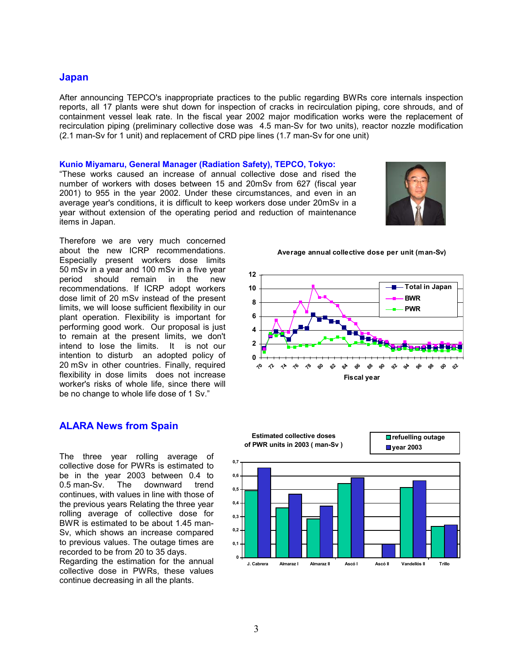## **Japan**

After announcing TEPCO's inappropriate practices to the public regarding BWRs core internals inspection reports, all 17 plants were shut down for inspection of cracks in recirculation piping, core shrouds, and of containment vessel leak rate. In the fiscal year 2002 major modification works were the replacement of recirculation piping (preliminary collective dose was 4.5 man-Sv for two units), reactor nozzle modification (2.1 man-Sv for 1 unit) and replacement of CRD pipe lines (1.7 man-Sv for one unit)

#### **Kunio Miyamaru, General Manager (Radiation Safety), TEPCO, Tokyo:**

"These works caused an increase of annual collective dose and rised the number of workers with doses between 15 and 20mSv from 627 (fiscal year 2001) to 955 in the year 2002. Under these circumstances, and even in an average year's conditions, it is difficult to keep workers dose under 20mSv in a year without extension of the operating period and reduction of maintenance items in Japan.



Therefore we are very much concerned about the new ICRP recommendations. Especially present workers dose limits 50 mSv in a year and 100 mSv in a five year period should remain in the new recommendations. If ICRP adopt workers dose limit of 20 mSv instead of the present limits, we will loose sufficient flexibility in our plant operation. Flexibility is important for performing good work. Our proposal is just to remain at the present limits, we don't intend to lose the limits. It is not our intention to disturb an adopted policy of 20 mSv in other countries. Finally, required flexibility in dose limits does not increase worker's risks of whole life, since there will be no change to whole life dose of 1 Sv."

## **ALARA News from Spain**

The three year rolling average of collective dose for PWRs is estimated to be in the year 2003 between 0.4 to 0.5 man-Sv. The downward trend continues, with values in line with those of the previous years Relating the three year rolling average of collective dose for BWR is estimated to be about 1.45 man-Sv, which shows an increase compared to previous values. The outage times are recorded to be from 20 to 35 days.

Regarding the estimation for the annual collective dose in PWRs, these values continue decreasing in all the plants.

**0 2 4 6 8 10 12 70 72 74 76 78 80 82 84 86 88 90 92 94 96 98 00 02 Fiscal year Total in Japan BWR PWR**

**Average annual collective dose per unit (man-Sv)**

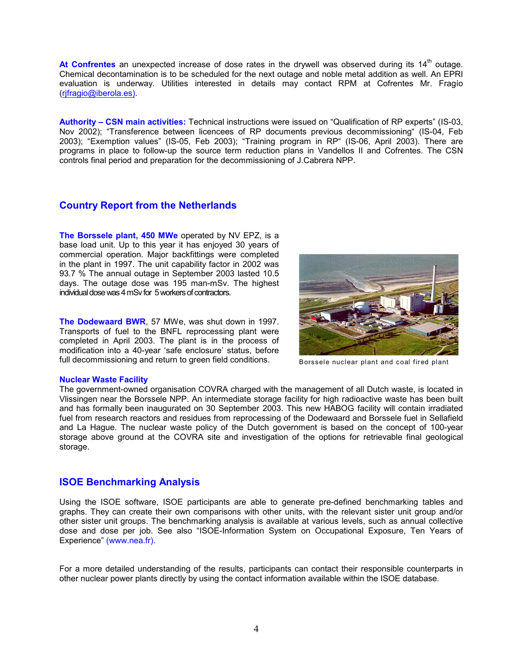At Confrentes an unexpected increase of dose rates in the drywell was observed during its 14<sup>th</sup> outage. Chemical decontamination is to be scheduled for the next outage and noble metal addition as well. An EPRI evaluation is underway. Utilities interested in details may contact RPM at Cofrentes Mr. Fragío [\(rjfragio@iberola.es\).](mailto:rjfragio@iberola.es))

**Authority – CSN main activities:** Technical instructions were issued on "Qualification of RP experts" (IS-03, Nov 2002); "Transference between licencees of RP documents previous decommissioning" (IS-04, Feb 2003); "Exemption values" (IS-05, Feb 2003); "Training program in RP" (IS-06, April 2003). There are programs in place to follow-up the source term reduction plans in Vandellos II and Cofrentes. The CSN controls final period and preparation for the decommissioning of J.Cabrera NPP.

## **Country Report from the Netherlands**

**The Borssele plant, 450 MWe** operated by NV EPZ, is a base load unit. Up to this year it has enjoyed 30 years of commercial operation. Major backfittings were completed in the plant in 1997. The unit capability factor in 2002 was 93.7 % The annual outage in September 2003 lasted 10.5 days. The outage dose was 195 man-mSv. The highest individual dose was 4 mSv for 5 workers of contractors.

**The Dodewaard BWR**, 57 MWe, was shut down in 1997. Transports of fuel to the BNFL reprocessing plant were completed in April 2003. The plant is in the process of modification into a 40-year 'safe enclosure' status, before full decommissioning and return to green field conditions.



Borssele nuclear plant and coal fired plant

#### **Nuclear Waste Facility**

The government-owned organisation COVRA charged with the management of all Dutch waste, is located in Vlissingen near the Borssele NPP. An intermediate storage facility for high radioactive waste has been built and has formally been inaugurated on 30 September 2003. This new HABOG facility will contain irradiated fuel from research reactors and residues from reprocessing of the Dodewaard and Borssele fuel in Sellafield and La Hague. The nuclear waste policy of the Dutch government is based on the concept of 100-year storage above ground at the COVRA site and investigation of the options for retrievable final geological storage.

## **ISOE Benchmarking Analysis**

Using the ISOE software, ISOE participants are able to generate pre-defined benchmarking tables and graphs. They can create their own comparisons with other units, with the relevant sister unit group and/or other sister unit groups. The benchmarking analysis is available at various levels, such as annual collective dose and dose per job. See also "ISOE-Information System on Occupational Exposure, Ten Years of Experience" (www.nea.fr).

For a more detailed understanding of the results, participants can contact their responsible counterparts in other nuclear power plants directly by using the contact information available within the ISOE database.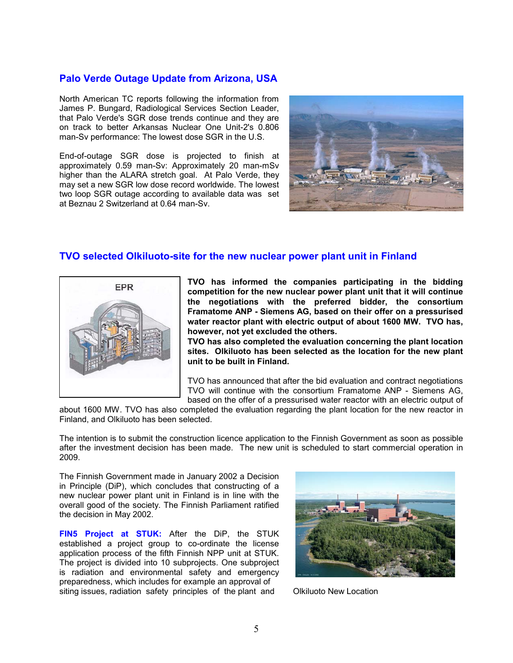## **Palo Verde Outage Update from Arizona, USA**

North American TC reports following the information from James P. Bungard, Radiological Services Section Leader, that Palo Verde's SGR dose trends continue and they are on track to better Arkansas Nuclear One Unit-2's 0.806 man-Sv performance: The lowest dose SGR in the U.S.

End-of-outage SGR dose is projected to finish at approximately 0.59 man-Sv: Approximately 20 man-mSv higher than the ALARA stretch goal. At Palo Verde, they may set a new SGR low dose record worldwide. The lowest two loop SGR outage according to available data was set at Beznau 2 Switzerland at 0.64 man-Sv.



## **TVO selected Olkiluoto-site for the new nuclear power plant unit in Finland**



**TVO has informed the companies participating in the bidding competition for the new nuclear power plant unit that it will continue the negotiations with the preferred bidder, the consortium Framatome ANP - Siemens AG, based on their offer on a pressurised water reactor plant with electric output of about 1600 MW. TVO has, however, not yet excluded the others.** 

**TVO has also completed the evaluation concerning the plant location sites. Olkiluoto has been selected as the location for the new plant unit to be built in Finland.** 

TVO has announced that after the bid evaluation and contract negotiations TVO will continue with the consortium Framatome ANP - Siemens AG, based on the offer of a pressurised water reactor with an electric output of

about 1600 MW. TVO has also completed the evaluation regarding the plant location for the new reactor in Finland, and Olkiluoto has been selected.

The intention is to submit the construction licence application to the Finnish Government as soon as possible after the investment decision has been made. The new unit is scheduled to start commercial operation in 2009.

The Finnish Government made in January 2002 a Decision in Principle (DiP), which concludes that constructing of a new nuclear power plant unit in Finland is in line with the overall good of the society. The Finnish Parliament ratified the decision in May 2002.

**FIN5 Project at STUK:** After the DiP, the STUK established a project group to co-ordinate the license application process of the fifth Finnish NPP unit at STUK. The project is divided into 10 subprojects. One subproject is radiation and environmental safety and emergency preparedness, which includes for example an approval of siting issues, radiation safety principles of the plant and Olkiluoto New Location